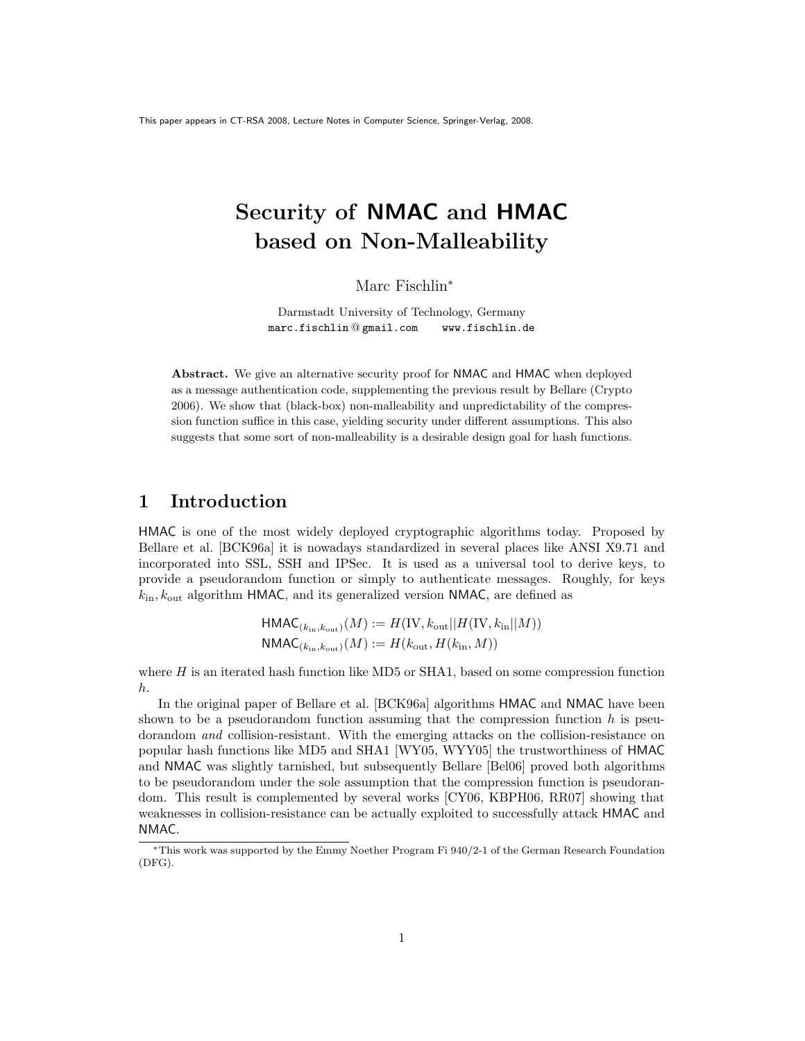This paper appears in CT-RSA 2008, Lecture Notes in Computer Science, Springer-Verlag, 2008.

# Security of NMAC and HMAC based on Non-Malleability

Marc Fischlin<sup>∗</sup>

Darmstadt University of Technology, Germany marc.fischlin @ gmail.com www.fischlin.de

Abstract. We give an alternative security proof for NMAC and HMAC when deployed as a message authentication code, supplementing the previous result by Bellare (Crypto 2006). We show that (black-box) non-malleability and unpredictability of the compression function suffice in this case, yielding security under different assumptions. This also suggests that some sort of non-malleability is a desirable design goal for hash functions.

## 1 Introduction

HMAC is one of the most widely deployed cryptographic algorithms today. Proposed by Bellare et al. [BCK96a] it is nowadays standardized in several places like ANSI X9.71 and incorporated into SSL, SSH and IPSec. It is used as a universal tool to derive keys, to provide a pseudorandom function or simply to authenticate messages. Roughly, for keys  $k_{\text{in}}$ ,  $k_{\text{out}}$  algorithm HMAC, and its generalized version NMAC, are defined as

$$
\mathsf{HMAC}_{(k_{\mathrm{in}},k_{\mathrm{out}})}(M) := H(\mathrm{IV},k_{\mathrm{out}}||H(\mathrm{IV},k_{\mathrm{in}}||M))
$$
  

$$
\mathsf{NMAC}_{(k_{\mathrm{in}},k_{\mathrm{out}})}(M) := H(k_{\mathrm{out}},H(k_{\mathrm{in}},M))
$$

where  $H$  is an iterated hash function like MD5 or SHA1, based on some compression function h.

In the original paper of Bellare et al. [BCK96a] algorithms HMAC and NMAC have been shown to be a pseudorandom function assuming that the compression function  $h$  is pseudorandom and collision-resistant. With the emerging attacks on the collision-resistance on popular hash functions like MD5 and SHA1 [WY05, WYY05] the trustworthiness of HMAC and NMAC was slightly tarnished, but subsequently Bellare [Bel06] proved both algorithms to be pseudorandom under the sole assumption that the compression function is pseudorandom. This result is complemented by several works [CY06, KBPH06, RR07] showing that weaknesses in collision-resistance can be actually exploited to successfully attack HMAC and NMAC.

<sup>∗</sup>This work was supported by the Emmy Noether Program Fi 940/2-1 of the German Research Foundation (DFG).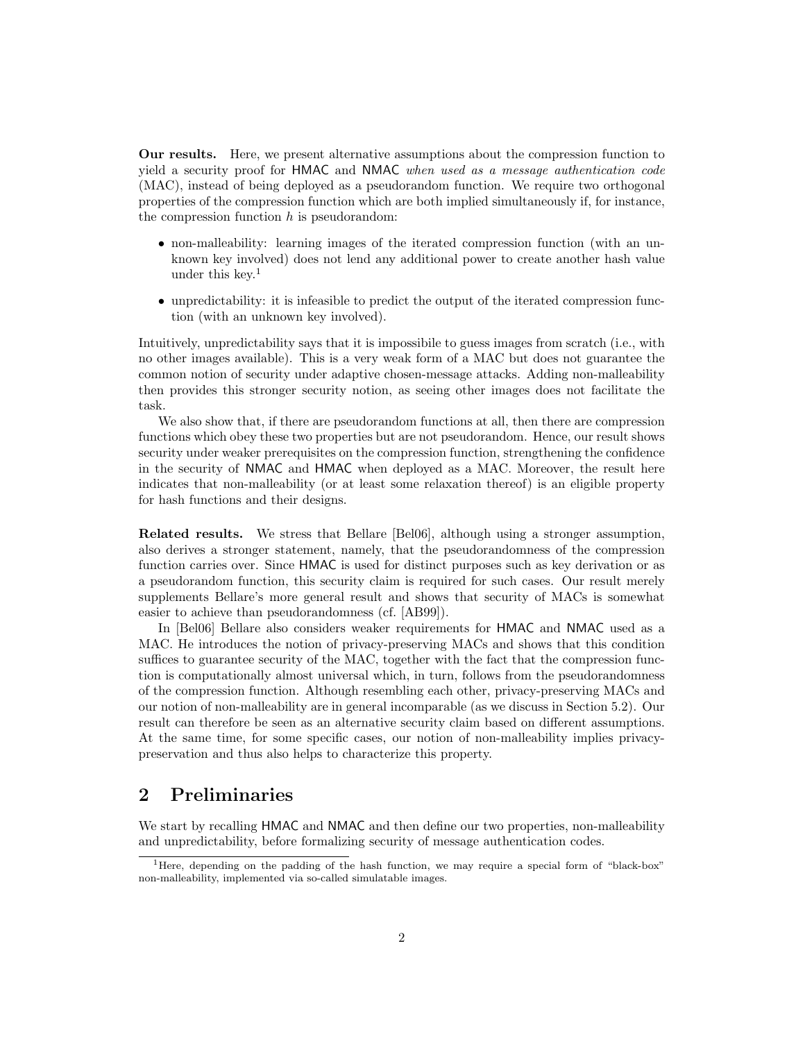Our results. Here, we present alternative assumptions about the compression function to yield a security proof for HMAC and NMAC when used as a message authentication code (MAC), instead of being deployed as a pseudorandom function. We require two orthogonal properties of the compression function which are both implied simultaneously if, for instance, the compression function  $h$  is pseudorandom:

- non-malleability: learning images of the iterated compression function (with an unknown key involved) does not lend any additional power to create another hash value under this key.<sup>1</sup>
- unpredictability: it is infeasible to predict the output of the iterated compression function (with an unknown key involved).

Intuitively, unpredictability says that it is impossibile to guess images from scratch (i.e., with no other images available). This is a very weak form of a MAC but does not guarantee the common notion of security under adaptive chosen-message attacks. Adding non-malleability then provides this stronger security notion, as seeing other images does not facilitate the task.

We also show that, if there are pseudorandom functions at all, then there are compression functions which obey these two properties but are not pseudorandom. Hence, our result shows security under weaker prerequisites on the compression function, strengthening the confidence in the security of NMAC and HMAC when deployed as a MAC. Moreover, the result here indicates that non-malleability (or at least some relaxation thereof) is an eligible property for hash functions and their designs.

Related results. We stress that Bellare [Bel06], although using a stronger assumption, also derives a stronger statement, namely, that the pseudorandomness of the compression function carries over. Since HMAC is used for distinct purposes such as key derivation or as a pseudorandom function, this security claim is required for such cases. Our result merely supplements Bellare's more general result and shows that security of MACs is somewhat easier to achieve than pseudorandomness (cf. [AB99]).

In [Bel06] Bellare also considers weaker requirements for HMAC and NMAC used as a MAC. He introduces the notion of privacy-preserving MACs and shows that this condition suffices to guarantee security of the MAC, together with the fact that the compression function is computationally almost universal which, in turn, follows from the pseudorandomness of the compression function. Although resembling each other, privacy-preserving MACs and our notion of non-malleability are in general incomparable (as we discuss in Section 5.2). Our result can therefore be seen as an alternative security claim based on different assumptions. At the same time, for some specific cases, our notion of non-malleability implies privacypreservation and thus also helps to characterize this property.

## 2 Preliminaries

We start by recalling HMAC and NMAC and then define our two properties, non-malleability and unpredictability, before formalizing security of message authentication codes.

<sup>&</sup>lt;sup>1</sup>Here, depending on the padding of the hash function, we may require a special form of "black-box" non-malleability, implemented via so-called simulatable images.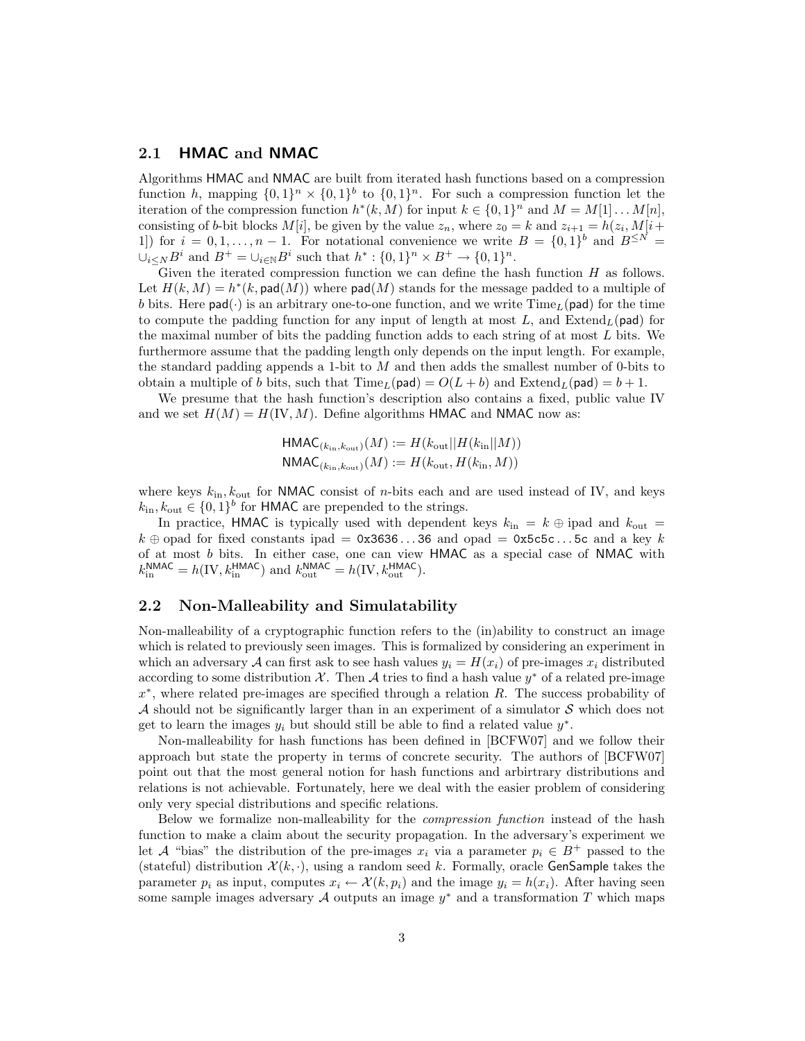#### 2.1 HMAC and NMAC

Algorithms HMAC and NMAC are built from iterated hash functions based on a compression function h, mapping  $\{0,1\}^n \times \{0,1\}^b$  to  $\{0,1\}^n$ . For such a compression function let the iteration of the compression function  $h^*(k, M)$  for input  $k \in \{0, 1\}^n$  and  $M = M[1] \dots M[n]$ , consisting of b-bit blocks  $M[i]$ , be given by the value  $z_n$ , where  $z_0 = k$  and  $z_{i+1} = h(z_i, M[i+1])$ 1) for  $i = 0, 1, \ldots, n-1$ . For notational convenience we write  $B = \{0, 1\}^b$  and  $B^{\leq N}$  $\bigcup_{i\leq N}B^i$  and  $B^+=\bigcup_{i\in\mathbb{N}}B^i$  such that  $h^*: \{0,1\}^n \times B^+ \to \{0,1\}^n$ .

Given the iterated compression function we can define the hash function  $H$  as follows. Let  $H(k, M) = h^*(k, \text{pad}(M))$  where  $\text{pad}(M)$  stands for the message padded to a multiple of b bits. Here  $pad(\cdot)$  is an arbitrary one-to-one function, and we write  $Time_{L}(pad)$  for the time to compute the padding function for any input of length at most L, and Extend<sub>L</sub>(pad) for the maximal number of bits the padding function adds to each string of at most L bits. We furthermore assume that the padding length only depends on the input length. For example, the standard padding appends a 1-bit to  $M$  and then adds the smallest number of 0-bits to obtain a multiple of b bits, such that  $\text{Time}_L(pad) = O(L + b)$  and  $\text{Extend}_L(pad) = b + 1$ .

We presume that the hash function's description also contains a fixed, public value IV and we set  $H(M) = H(IV, M)$ . Define algorithms HMAC and NMAC now as:

$$
\mathsf{HMAC}_{(k_{\mathrm{in}},k_{\mathrm{out}})}(M) := H(k_{\mathrm{out}}||H(k_{\mathrm{in}}||M))
$$
  

$$
\mathsf{NMAC}_{(k_{\mathrm{in}},k_{\mathrm{out}})}(M) := H(k_{\mathrm{out}},H(k_{\mathrm{in}},M))
$$

where keys  $k_{\text{in}}$ ,  $k_{\text{out}}$  for NMAC consist of *n*-bits each and are used instead of IV, and keys  $k_{\text{in}}$ ,  $k_{\text{out}} \in \{0,1\}$ <sup>b</sup> for HMAC are prepended to the strings.

In practice, HMAC is typically used with dependent keys  $k_{\text{in}} = k \oplus \text{ipad}$  and  $k_{\text{out}} =$  $k \oplus$  opad for fixed constants ipad = 0x3636...36 and opad = 0x5c5c...5c and a key k of at most b bits. In either case, one can view HMAC as a special case of NMAC with  $k_{\text{in}}^{\text{NMAC}} = h(\text{IV}, k_{\text{in}}^{\text{HMAC}})$  and  $k_{\text{out}}^{\text{NMAC}} = h(\text{IV}, k_{\text{out}}^{\text{HMAC}})$ .

#### 2.2 Non-Malleability and Simulatability

Non-malleability of a cryptographic function refers to the (in)ability to construct an image which is related to previously seen images. This is formalized by considering an experiment in which an adversary A can first ask to see hash values  $y_i = H(x_i)$  of pre-images  $x_i$  distributed according to some distribution X. Then A tries to find a hash value  $y^*$  of a related pre-image  $x^*$ , where related pre-images are specified through a relation R. The success probability of A should not be significantly larger than in an experiment of a simulator  $S$  which does not get to learn the images  $y_i$  but should still be able to find a related value  $y^*$ .

Non-malleability for hash functions has been defined in [BCFW07] and we follow their approach but state the property in terms of concrete security. The authors of [BCFW07] point out that the most general notion for hash functions and arbirtrary distributions and relations is not achievable. Fortunately, here we deal with the easier problem of considering only very special distributions and specific relations.

Below we formalize non-malleability for the compression function instead of the hash function to make a claim about the security propagation. In the adversary's experiment we let A "bias" the distribution of the pre-images  $x_i$  via a parameter  $p_i \in B^+$  passed to the (stateful) distribution  $\mathcal{X}(k, \cdot)$ , using a random seed k. Formally, oracle GenSample takes the parameter  $p_i$  as input, computes  $x_i \leftarrow \mathcal{X}(k, p_i)$  and the image  $y_i = h(x_i)$ . After having seen some sample images adversary  $A$  outputs an image  $y^*$  and a transformation  $T$  which maps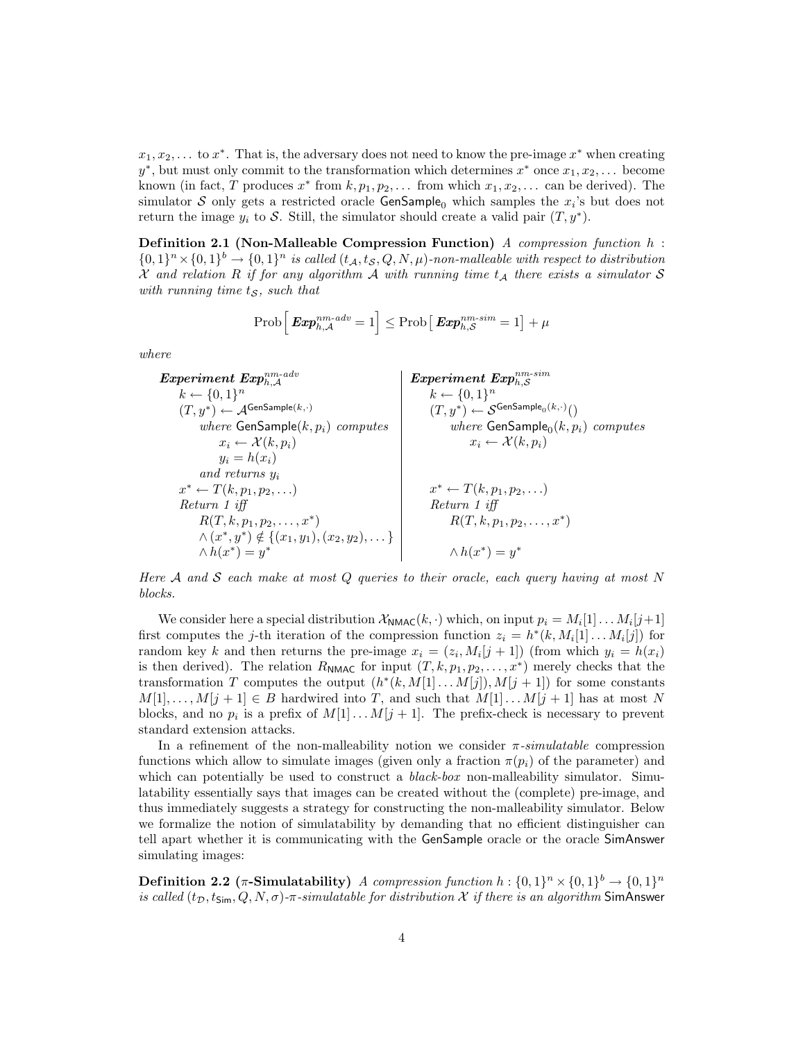$x_1, x_2, \ldots$  to  $x^*$ . That is, the adversary does not need to know the pre-image  $x^*$  when creating  $y^*$ , but must only commit to the transformation which determines  $x^*$  once  $x_1, x_2, \ldots$  become known (in fact, T produces  $x^*$  from  $k, p_1, p_2, \ldots$  from which  $x_1, x_2, \ldots$  can be derived). The simulator  ${\cal S}$  only gets a restricted oracle  ${\sf GenSample}_0$  which samples the  $x_i$ 's but does not return the image  $y_i$  to S. Still, the simulator should create a valid pair  $(T, y^*)$ .

**Definition 2.1 (Non-Malleable Compression Function)** A compression function h:  $\{0,1\}^n \times \{0,1\}^b \rightarrow \{0,1\}^n$  is called  $(t_{\mathcal{A}}, t_{\mathcal{S}}, Q, N, \mu)$ -non-malleable with respect to distribution X and relation R if for any algorithm A with running time  $t_A$  there exists a simulator S with running time  $t_{\mathcal{S}}$ , such that

$$
\text{Prob}\Big[\textit{Exp}_{h,\mathcal{A}}^{nm\text{-}adv} = 1\Big]\leq \text{Prob}\big[\textit{Exp}_{h,\mathcal{S}}^{nm\text{-}sim} = 1\big] + \mu
$$

where

 $Experiment \; Exp^{nm-adv}_{h,\mathcal{A}}\ k \leftarrow \{0,1\}^n$  $(T, y^*) \leftarrow \mathcal{A}^{\mathsf{GenSample}(k, \cdot)}$ where  $GenSample(k, p_i)$  computes  $x_i \leftarrow \mathcal{X}(k, p_i)$  $y_i = h(x_i)$ and returns  $y_i$  $x^* \leftarrow T(k, p_1, p_2, \ldots)$ Return 1 iff  $R(T, k, p_1, p_2, \ldots, x^*)$  $\wedge$   $(x^*, y^*) \notin \{(x_1, y_1), (x_2, y_2), \dots\}$  $\wedge h(x^*) = y^*$  $Experiment \; Exp^{nm-sim}_{h,\mathcal{S}} \nonumber \ \begin{aligned} & k \leftarrow \{0,1\}^n \end{aligned}$  $(T, y^*) \leftarrow \mathcal{S}^{\mathsf{GenSample}_0(k, \cdot)}()$  $where$  GenSample $_0(k,p_i)$   $\it computes$  $x_i \leftarrow \mathcal{X}(k, p_i)$  $x^* \leftarrow T(k, p_1, p_2, \ldots)$ Return 1 iff  $R(T, k, p_1, p_2, \ldots, x^*)$  $\wedge h(x^*) = y^*$ 

Here  $A$  and  $S$  each make at most  $Q$  queries to their oracle, each query having at most  $N$ blocks.

We consider here a special distribution  $\mathcal{X}_{\mathsf{NMAC}}(k, \cdot)$  which, on input  $p_i = M_i[1] \dots M_i[j+1]$ first computes the j-th iteration of the compression function  $z_i = h^*(k, M_i[1] \dots M_i[j])$  for random key k and then returns the pre-image  $x_i = (z_i, M_i[j+1])$  (from which  $y_i = h(x_i)$ ) is then derived). The relation  $R_{\text{NMAC}}$  for input  $(T, k, p_1, p_2, \ldots, x^*)$  merely checks that the transformation T computes the output  $(h^*(k, M[1] \dots M[j]), M[j + 1])$  for some constants  $M[1], \ldots, M[j+1] \in B$  hardwired into T, and such that  $M[1] \ldots M[j+1]$  has at most N blocks, and no  $p_i$  is a prefix of  $M[1] \dots M[j+1]$ . The prefix-check is necessary to prevent standard extension attacks.

In a refinement of the non-malleability notion we consider  $\pi$ -simulatable compression functions which allow to simulate images (given only a fraction  $\pi(p_i)$  of the parameter) and which can potentially be used to construct a *black-box* non-malleability simulator. Simulatability essentially says that images can be created without the (complete) pre-image, and thus immediately suggests a strategy for constructing the non-malleability simulator. Below we formalize the notion of simulatability by demanding that no efficient distinguisher can tell apart whether it is communicating with the GenSample oracle or the oracle SimAnswer simulating images:

**Definition 2.2** ( $\pi$ -Simulatability) A compression function  $h: \{0,1\}^n \times \{0,1\}^b \rightarrow \{0,1\}^n$ is called  $(t_{\mathcal{D}}, t_{\text{Sim}}, Q, N, \sigma)$ -π-simulatable for distribution X if there is an algorithm SimAnswer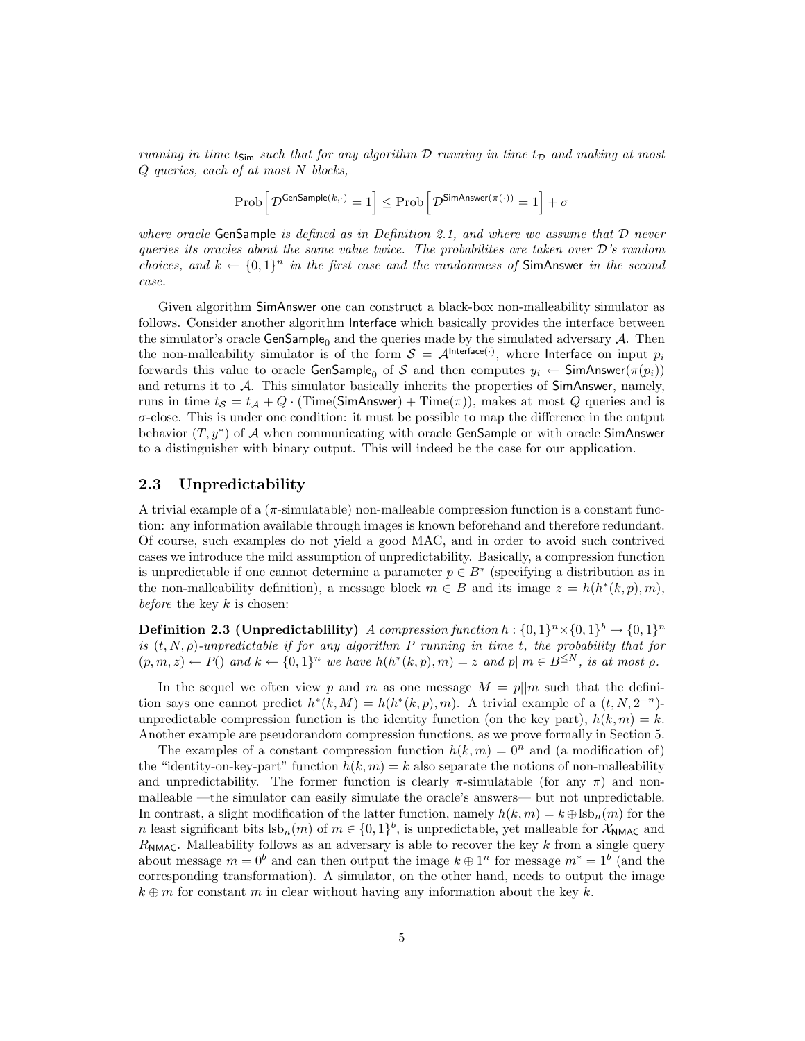running in time t<sub>Sim</sub> such that for any algorithm D running in time t<sub>D</sub> and making at most Q queries, each of at most N blocks,

$$
\mathrm{Prob}\Big[\,\mathcal{D}^{\mathsf{GenSample}(k,\cdot)}=1\Big]\leq \mathrm{Prob}\Big[\,\mathcal{D}^{\mathsf{SimAnswer}(\pi(\cdot))}=1\Big]+\sigma
$$

where oracle GenSample is defined as in Definition 2.1, and where we assume that  $D$  never queries its oracles about the same value twice. The probabilites are taken over  $\mathcal{D}'$ 's random choices, and  $k \leftarrow \{0,1\}^n$  in the first case and the randomness of SimAnswer in the second case.

Given algorithm SimAnswer one can construct a black-box non-malleability simulator as follows. Consider another algorithm Interface which basically provides the interface between the simulator's oracle GenSample<sub>0</sub> and the queries made by the simulated adversary  $\mathcal{A}$ . Then the non-malleability simulator is of the form  $S = A^{Interface(\cdot)}$ , where Interface on input  $p_i$ forwards this value to oracle GenSample<sub>0</sub> of S and then computes  $y_i \leftarrow \textsf{SimAnswer}(\pi(p_i))$ and returns it to A. This simulator basically inherits the properties of SimAnswer, namely, runs in time  $t_S = t_A + Q \cdot (\text{Time(SimAnswer)} + \text{Time}(\pi))$ , makes at most Q queries and is  $\sigma$ -close. This is under one condition: it must be possible to map the difference in the output behavior  $(T, y^*)$  of A when communicating with oracle GenSample or with oracle SimAnswer to a distinguisher with binary output. This will indeed be the case for our application.

#### 2.3 Unpredictability

A trivial example of a  $(\pi$ -simulatable) non-malleable compression function is a constant function: any information available through images is known beforehand and therefore redundant. Of course, such examples do not yield a good MAC, and in order to avoid such contrived cases we introduce the mild assumption of unpredictability. Basically, a compression function is unpredictable if one cannot determine a parameter  $p \in B^*$  (specifying a distribution as in the non-malleability definition), a message block  $m \in B$  and its image  $z = h(h^*(k, p), m)$ , before the key  $k$  is chosen:

**Definition 2.3 (Unpredictablility)** A compression function  $h: \{0,1\}^n \times \{0,1\}^b \rightarrow \{0,1\}^n$ is  $(t, N, \rho)$ -unpredictable if for any algorithm P running in time t, the probability that for  $(p, m, z) \leftarrow P()$  and  $k \leftarrow \{0, 1\}^n$  we have  $h(h^*(k, p), m) = z$  and  $p||m \in B^{\leq N}$ , is at most  $\rho$ .

In the sequel we often view p and m as one message  $M = p||m$  such that the definition says one cannot predict  $h^*(k, M) = h(h^*(k, p), m)$ . A trivial example of a  $(t, N, 2^{-n})$ unpredictable compression function is the identity function (on the key part),  $h(k, m) = k$ . Another example are pseudorandom compression functions, as we prove formally in Section 5.

The examples of a constant compression function  $h(k, m) = 0<sup>n</sup>$  and (a modification of) the "identity-on-key-part" function  $h(k, m) = k$  also separate the notions of non-malleability and unpredictability. The former function is clearly  $\pi$ -simulatable (for any  $\pi$ ) and nonmalleable —the simulator can easily simulate the oracle's answers— but not unpredictable. In contrast, a slight modification of the latter function, namely  $h(k, m) = k \oplus \text{lsb}_n(m)$  for the n least significant bits  $\text{lsb}_n(m)$  of  $m \in \{0,1\}^b$ , is unpredictable, yet malleable for  $\mathcal{X}_{\text{NMAC}}$  and  $R_{\text{NMAC}}$ . Malleability follows as an adversary is able to recover the key  $k$  from a single query about message  $m = 0^b$  and can then output the image  $k \oplus 1^n$  for message  $m^* = 1^b$  (and the corresponding transformation). A simulator, on the other hand, needs to output the image  $k \oplus m$  for constant m in clear without having any information about the key k.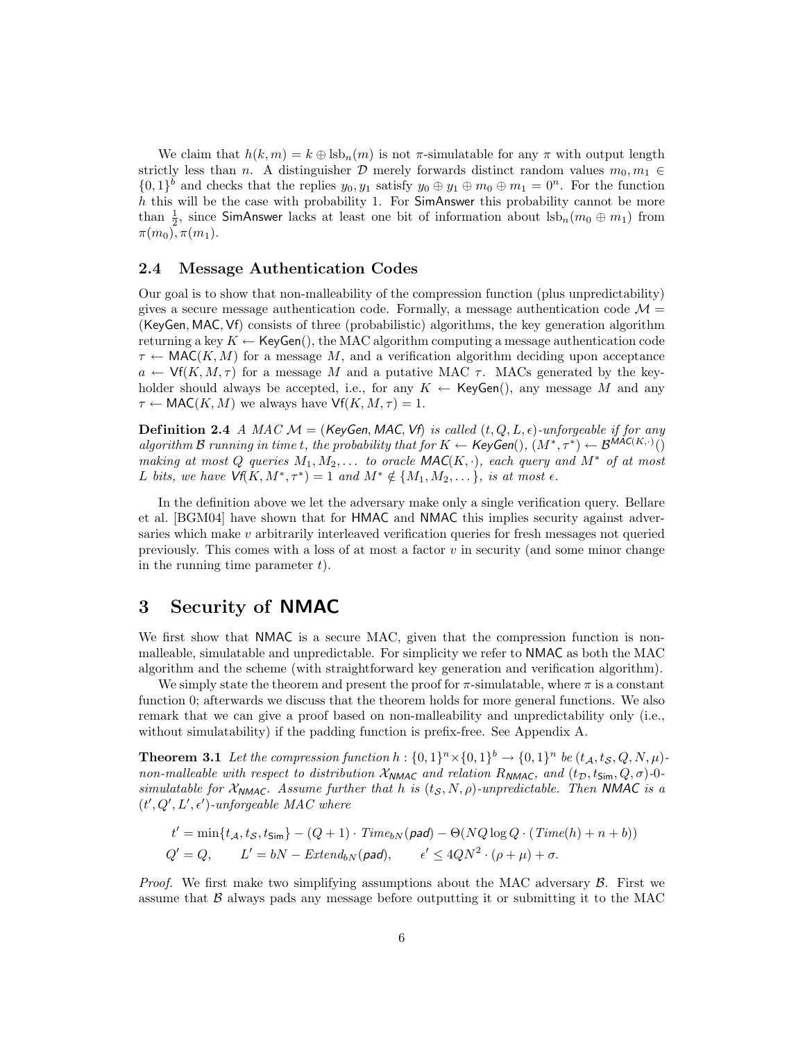We claim that  $h(k, m) = k \oplus \text{lsb}_n(m)$  is not  $\pi$ -simulatable for any  $\pi$  with output length strictly less than n. A distinguisher D merely forwards distinct random values  $m_0, m_1 \in$  $\{0,1\}^b$  and checks that the replies  $y_0, y_1$  satisfy  $y_0 \oplus y_1 \oplus m_0 \oplus m_1 = 0^n$ . For the function  $h$  this will be the case with probability 1. For SimAnswer this probability cannot be more than  $\frac{1}{2}$ , since SimAnswer lacks at least one bit of information about  $\text{lsb}_n(m_0 \oplus m_1)$  from  $\pi(m_0), \pi(m_1).$ 

#### 2.4 Message Authentication Codes

Our goal is to show that non-malleability of the compression function (plus unpredictability) gives a secure message authentication code. Formally, a message authentication code  $\mathcal{M} =$ (KeyGen, MAC,Vf) consists of three (probabilistic) algorithms, the key generation algorithm returning a key  $K \leftarrow \mathsf{KeyGen}()$ , the MAC algorithm computing a message authentication code  $\tau \leftarrow \textsf{MAC}(K, M)$  for a message M, and a verification algorithm deciding upon acceptance  $a \leftarrow \mathsf{Vf}(K, M, \tau)$  for a message M and a putative MAC  $\tau$ . MACs generated by the keyholder should always be accepted, i.e., for any  $K \leftarrow$  KeyGen(), any message M and any  $\tau \leftarrow \textsf{MAC}(K, M)$  we always have  $\textsf{Vf}(K, M, \tau) = 1$ .

**Definition 2.4** A MAC  $\mathcal{M} = (KeyGen, MAC, Vf)$  is called  $(t, Q, L, \epsilon)$ -unforgeable if for any algorithm B running in time t, the probability that for  $K \leftarrow \mathsf{KeyGen}(), (M^*, \tau^*) \leftarrow \mathcal{B}^{\mathsf{MAC}(K, \cdot)}()$ making at most Q queries  $M_1, M_2, \ldots$  to oracle  $\mathsf{MAC}(K, \cdot)$ , each query and  $M^*$  of at most L bits, we have  $\mathsf{Vf}(K, M^*, \tau^*) = 1$  and  $M^* \notin \{M_1, M_2, \dots\}$ , is at most  $\epsilon$ .

In the definition above we let the adversary make only a single verification query. Bellare et al. [BGM04] have shown that for HMAC and NMAC this implies security against adversaries which make v arbitrarily interleaved verification queries for fresh messages not queried previously. This comes with a loss of at most a factor  $v$  in security (and some minor change in the running time parameter  $t$ ).

## 3 Security of NMAC

We first show that NMAC is a secure MAC, given that the compression function is nonmalleable, simulatable and unpredictable. For simplicity we refer to NMAC as both the MAC algorithm and the scheme (with straightforward key generation and verification algorithm).

We simply state the theorem and present the proof for  $\pi$ -simulatable, where  $\pi$  is a constant function 0; afterwards we discuss that the theorem holds for more general functions. We also remark that we can give a proof based on non-malleability and unpredictability only (i.e., without simulatability) if the padding function is prefix-free. See Appendix A.

**Theorem 3.1** Let the compression function  $h: \{0,1\}^n \times \{0,1\}^b \rightarrow \{0,1\}^n$  be  $(t_A, t_S, Q, N, \mu)$ non-malleable with respect to distribution  $\mathcal{X}_{NMAC}$  and relation  $R_{NMAC}$ , and  $(t_{\mathcal{D}}, t_{\mathsf{Sim}}, Q, \sigma)$ -0simulatable for  $\mathcal{X}_{NMAC}$ . Assume further that h is  $(t_{\mathcal{S}}, N, \rho)$ -unpredictable. Then NMAC is a  $(t', Q', L', \epsilon')$ -unforgeable MAC where

$$
t' = \min\{t_{\mathcal{A}}, t_{\mathcal{S}}, t_{\mathsf{Sim}}\} - (Q+1) \cdot \mathit{Time}_{bN}(\mathit{pad}) - \Theta(NQ \log Q \cdot (\mathit{Time}(h) + n + b))
$$
  

$$
Q' = Q, \qquad L' = bN - \mathit{Extend}_{bN}(\mathit{pad}), \qquad \epsilon' \leq 4QN^2 \cdot (\rho + \mu) + \sigma.
$$

*Proof.* We first make two simplifying assumptions about the MAC adversary  $\beta$ . First we assume that  $\beta$  always pads any message before outputting it or submitting it to the MAC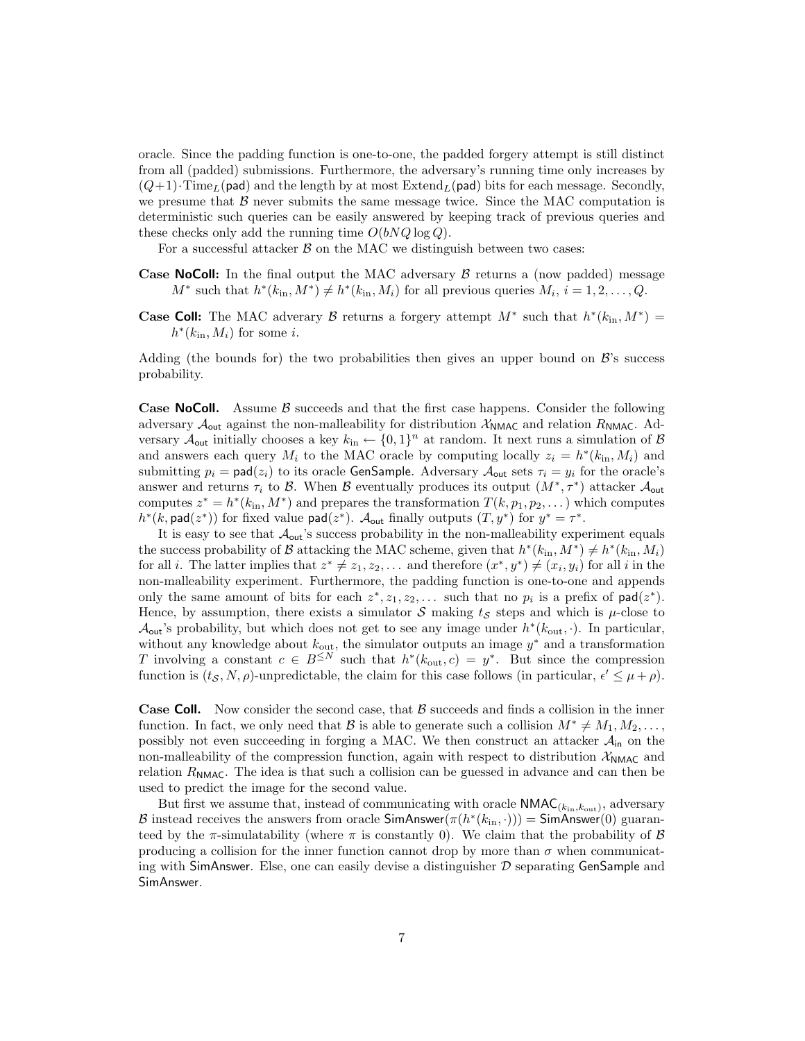oracle. Since the padding function is one-to-one, the padded forgery attempt is still distinct from all (padded) submissions. Furthermore, the adversary's running time only increases by  $(Q+1)\cdot\text{Time}_{L}(pad)$  and the length by at most  $\text{Extend}_{L}(pad)$  bits for each message. Secondly, we presume that  $\beta$  never submits the same message twice. Since the MAC computation is deterministic such queries can be easily answered by keeping track of previous queries and these checks only add the running time  $O(bNQ \log Q)$ .

For a successful attacker  $\beta$  on the MAC we distinguish between two cases:

- **Case NoColl:** In the final output the MAC adversary  $\beta$  returns a (now padded) message  $M^*$  such that  $h^*(k_{\rm in}, M^*) \neq h^*(k_{\rm in}, M_i)$  for all previous queries  $M_i$ ,  $i = 1, 2, ..., Q$ .
- **Case Coll:** The MAC adverary B returns a forgery attempt  $M^*$  such that  $h^*(k_{\text{in}}, M^*) =$  $h^*(k_{\text{in}}, M_i)$  for some *i*.

Adding (the bounds for) the two probabilities then gives an upper bound on  $\mathcal{B}$ 's success probability.

**Case NoColl.** Assume  $\beta$  succeeds and that the first case happens. Consider the following adversary  $\mathcal{A}_{\text{out}}$  against the non-malleability for distribution  $\mathcal{X}_{\text{NMAC}}$  and relation  $R_{\text{NMAC}}$ . Adversary  $\mathcal{A}_{\text{out}}$  initially chooses a key  $k_{\text{in}} \leftarrow \{0,1\}^n$  at random. It next runs a simulation of  $\mathcal{B}$ and answers each query  $M_i$  to the MAC oracle by computing locally  $z_i = h^*(k_{\text{in}}, M_i)$  and submitting  $p_i = \text{pad}(z_i)$  to its oracle GenSample. Adversary  $\mathcal{A}_{\text{out}}$  sets  $\tau_i = y_i$  for the oracle's answer and returns  $\tau_i$  to  $\mathcal{B}$ . When  $\mathcal{B}$  eventually produces its output  $(M^*, \tau^*)$  attacker  $\mathcal{A}_{\text{out}}$ computes  $z^* = h^*(k_{\rm in}, M^*)$  and prepares the transformation  $T(k, p_1, p_2, \dots)$  which computes  $h^*(k, \text{pad}(z^*))$  for fixed value  $\text{pad}(z^*)$ .  $\mathcal{A}_{\text{out}}$  finally outputs  $(T, y^*)$  for  $y^* = \tau^*$ .

It is easy to see that  $\mathcal{A}_{\text{out}}$ 's success probability in the non-malleability experiment equals the success probability of B attacking the MAC scheme, given that  $h^*(k_{\rm in}, M^*) \neq h^*(k_{\rm in}, M_i)$ for all *i*. The latter implies that  $z^* \neq z_1, z_2, \ldots$  and therefore  $(x^*, y^*) \neq (x_i, y_i)$  for all *i* in the non-malleability experiment. Furthermore, the padding function is one-to-one and appends only the same amount of bits for each  $z^*, z_1, z_2, \ldots$  such that no  $p_i$  is a prefix of  $\text{pad}(z^*)$ . Hence, by assumption, there exists a simulator S making  $t<sub>S</sub>$  steps and which is  $\mu$ -close to  $\mathcal{A}_{\text{out}}$ 's probability, but which does not get to see any image under  $h^*(k_{\text{out}},\cdot)$ . In particular, without any knowledge about  $k_{\text{out}}$ , the simulator outputs an image  $y^*$  and a transformation T involving a constant  $c \in B^{\leq N}$  such that  $h^*(k_{\text{out}}, c) = y^*$ . But since the compression function is  $(t_{\mathcal{S}}, N, \rho)$ -unpredictable, the claim for this case follows (in particular,  $\epsilon' \leq \mu + \rho$ ).

**Case Coll.** Now consider the second case, that  $\beta$  succeeds and finds a collision in the inner function. In fact, we only need that B is able to generate such a collision  $M^* \neq M_1, M_2, \ldots$ , possibly not even succeeding in forging a MAC. We then construct an attacker  $A_{in}$  on the non-malleability of the compression function, again with respect to distribution  $\mathcal{X}_{NMAC}$  and relation  $R_{NMAC}$ . The idea is that such a collision can be guessed in advance and can then be used to predict the image for the second value.

But first we assume that, instead of communicating with oracle  $\mathsf{NMAC}_{(k_{\text{in}},k_{\text{out}})}$ , adversary B instead receives the answers from oracle  $\textsf{SimAnswer}(\pi(h^*(k_{\text{in}},\cdot))) = \textsf{SimAnswer}(0)$  guaranteed by the  $\pi$ -simulatability (where  $\pi$  is constantly 0). We claim that the probability of  $\beta$ producing a collision for the inner function cannot drop by more than  $\sigma$  when communicating with SimAnswer. Else, one can easily devise a distinguisher  $D$  separating GenSample and SimAnswer.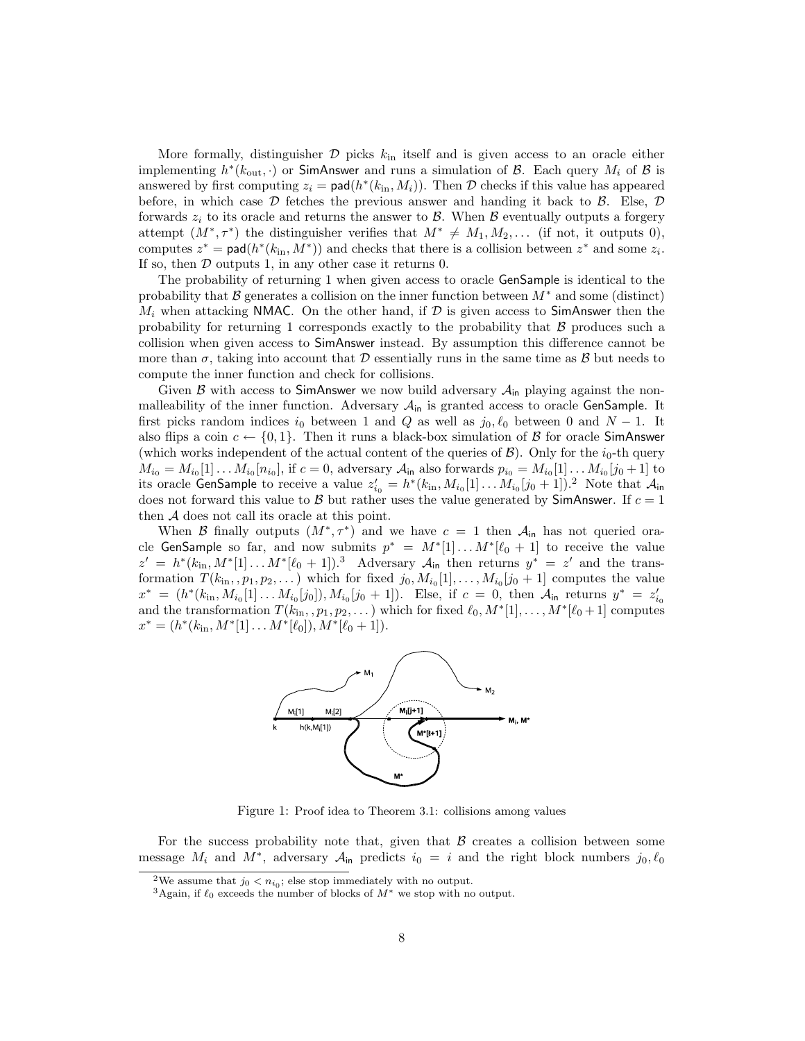More formally, distinguisher  $\mathcal D$  picks  $k_{\rm in}$  itself and is given access to an oracle either implementing  $h^*(k_{\text{out}},\cdot)$  or SimAnswer and runs a simulation of  $\mathcal{B}$ . Each query  $M_i$  of  $\mathcal{B}$  is answered by first computing  $z_i = \text{pad}(h^*(k_{\text{in}}, M_i))$ . Then  $\mathcal D$  checks if this value has appeared before, in which case  $\mathcal D$  fetches the previous answer and handing it back to  $\mathcal B$ . Else,  $\mathcal D$ forwards  $z_i$  to its oracle and returns the answer to  $\beta$ . When  $\beta$  eventually outputs a forgery attempt  $(M^*, \tau^*)$  the distinguisher verifies that  $M^* \neq M_1, M_2, \ldots$  (if not, it outputs 0), computes  $z^* = \text{pad}(h^*(k_{\text{in}}, M^*))$  and checks that there is a collision between  $z^*$  and some  $z_i$ . If so, then  $D$  outputs 1, in any other case it returns 0.

The probability of returning 1 when given access to oracle GenSample is identical to the probability that B generates a collision on the inner function between  $M^*$  and some (distinct)  $M_i$  when attacking NMAC. On the other hand, if  $\mathcal D$  is given access to SimAnswer then the probability for returning 1 corresponds exactly to the probability that  $\beta$  produces such a collision when given access to SimAnswer instead. By assumption this difference cannot be more than  $\sigma$ , taking into account that  $\mathcal D$  essentially runs in the same time as  $\mathcal B$  but needs to compute the inner function and check for collisions.

Given  $\beta$  with access to SimAnswer we now build adversary  $A_{in}$  playing against the nonmalleability of the inner function. Adversary  $A_{in}$  is granted access to oracle GenSample. It first picks random indices  $i_0$  between 1 and Q as well as  $j_0, \ell_0$  between 0 and  $N - 1$ . It also flips a coin  $c \leftarrow \{0, 1\}$ . Then it runs a black-box simulation of  $\beta$  for oracle SimAnswer (which works independent of the actual content of the queries of  $\mathcal{B}$ ). Only for the  $i_0$ -th query  $M_{i_0} = M_{i_0}[1] \dots M_{i_0}[n_{i_0}],$  if  $c = 0$ , adversary  $A_{i_0}$  also forwards  $p_{i_0} = M_{i_0}[1] \dots M_{i_0}[j_0 + 1]$  to its oracle GenSample to receive a value  $z_{i_0}' = h^*(k_{\rm in}, M_{i_0}[1] \ldots M_{i_0}[j_0+1])$ .<sup>2</sup> Note that  $\mathcal{A}_{\rm in}$ does not forward this value to B but rather uses the value generated by SimAnswer. If  $c = 1$ then A does not call its oracle at this point.

When B finally outputs  $(M^*, \tau^*)$  and we have  $c = 1$  then  $\mathcal{A}_{in}$  has not queried oracle GenSample so far, and now submits  $p^* = M^*[1] \dots M^*[\ell_0 + 1]$  to receive the value  $z' = h^*(k_{\rm in}, M^*[1] \dots M^*[\ell_0 + 1])$ .<sup>3</sup> Adversary  $\mathcal{A}_{\rm in}$  then returns  $y^* = z'$  and the transformation  $T(k_{\text{in}}, p_1, p_2, \dots)$  which for fixed  $j_0, M_{i_0}[1], \dots, M_{i_0}[j_0 + 1]$  computes the value  $x^* = (h^*(k_{\rm in}, M_{i_0}[1] \dots M_{i_0}[j_0]), M_{i_0}[j_0 + 1])$ . Else, if  $c = 0$ , then  $A_{\rm in}$  returns  $y^* = z'_{i_0}$ and the transformation  $T(k_{\text{in}}, p_1, p_2, \dots)$  which for fixed  $\ell_0, M^*[1], \dots, M^*[\ell_0 + 1]$  computes  $x^* = (h^*(k_{\rm in}, M^*[1] \dots M^*[\ell_0]), M^*[\ell_0 + 1]).$ 



Figure 1: Proof idea to Theorem 3.1: collisions among values

For the success probability note that, given that  $\beta$  creates a collision between some message  $M_i$  and  $M^*$ , adversary  $\mathcal{A}_{in}$  predicts  $i_0 = i$  and the right block numbers  $j_0, \ell_0$ 

<sup>&</sup>lt;sup>2</sup>We assume that  $j_0 < n_{i_0}$ ; else stop immediately with no output.

<sup>&</sup>lt;sup>3</sup>Again, if  $\ell_0$  exceeds the number of blocks of  $M^*$  we stop with no output.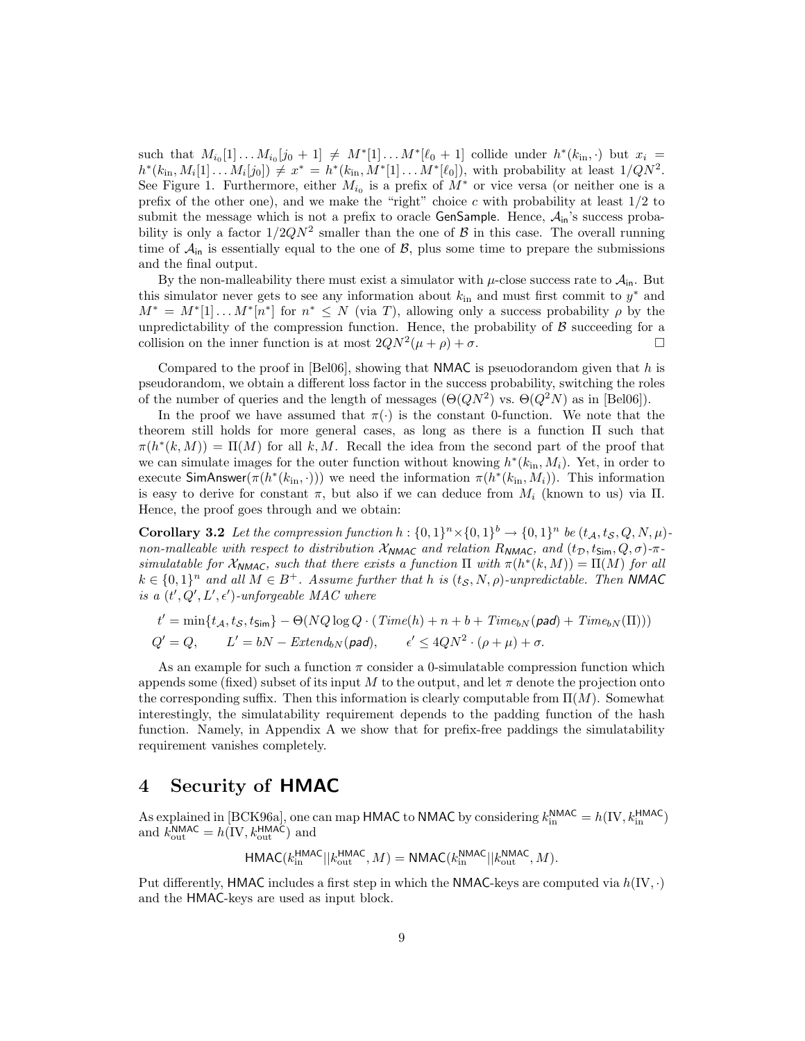such that  $M_{i_0}[1] \dots M_{i_0}[j_0 + 1] \neq M^*[1] \dots M^*[l_0 + 1]$  collide under  $h^*(k_{\text{in}}, \cdot)$  but  $x_i =$  $h^*(k_{\rm in}, M_i[1] \dots M_i[j_0]) \neq x^* = h^*(k_{\rm in}, M^*[1] \dots M^*[\ell_0])$ , with probability at least  $1/QN^2$ . See Figure 1. Furthermore, either  $M_{i_0}$  is a prefix of  $M^*$  or vice versa (or neither one is a prefix of the other one), and we make the "right" choice  $c$  with probability at least  $1/2$  to submit the message which is not a prefix to oracle GenSample. Hence,  $A_{in}$ 's success probability is only a factor  $1/2QN^2$  smaller than the one of  $\beta$  in this case. The overall running time of  $\mathcal{A}_{in}$  is essentially equal to the one of  $\mathcal{B}_{in}$ , plus some time to prepare the submissions and the final output.

By the non-malleability there must exist a simulator with  $\mu$ -close success rate to  $\mathcal{A}_{in}$ . But this simulator never gets to see any information about  $k_{\text{in}}$  and must first commit to  $y^*$  and  $M^* = M^*[1] \dots M^*[n^*]$  for  $n^* \leq N$  (via T), allowing only a success probability  $\rho$  by the unpredictability of the compression function. Hence, the probability of  $\beta$  succeeding for a collision on the inner function is at most  $2QN^2(\mu + \rho) + \sigma$ .

Compared to the proof in  $[Bel06]$ , showing that NMAC is pseudorandom given that h is pseudorandom, we obtain a different loss factor in the success probability, switching the roles of the number of queries and the length of messages  $(\Theta(QN^2)$  vs.  $\Theta(Q^2N)$  as in [Bel06]).

In the proof we have assumed that  $\pi(\cdot)$  is the constant 0-function. We note that the theorem still holds for more general cases, as long as there is a function  $\Pi$  such that  $\pi(h^*(k,M)) = \Pi(M)$  for all k, M. Recall the idea from the second part of the proof that we can simulate images for the outer function without knowing  $h^*(k_{\rm in}, M_i)$ . Yet, in order to execute SimAnswer( $\pi(h^*(k_{\rm in},\cdot))$ ) we need the information  $\pi(h^*(k_{\rm in},M_i))$ . This information is easy to derive for constant  $\pi$ , but also if we can deduce from  $M_i$  (known to us) via  $\Pi$ . Hence, the proof goes through and we obtain:

**Corollary 3.2** Let the compression function  $h: \{0,1\}^n \times \{0,1\}^b \rightarrow \{0,1\}^n$  be  $(t_A, t_S, Q, N, \mu)$ non-malleable with respect to distribution  $\chi_{NMAC}$  and relation  $R_{NMAC}$ , and  $(t_{\mathcal{D}}, t_{Sim}, Q, \sigma)$ - $\pi$ simulatable for  $\mathcal{X}_{NMAC}$ , such that there exists a function  $\Pi$  with  $\pi(h^*(k,M)) = \Pi(M)$  for all  $k \in \{0,1\}^n$  and all  $M \in B^+$ . Assume further that h is  $(t_{\mathcal{S}}, N, \rho)$ -unpredictable. Then NMAC is a  $(t', Q', L', \epsilon')$ -unforgeable MAC where

$$
t' = \min\{t_{\mathcal{A}}, t_{\mathcal{S}}, t_{\mathsf{Sim}}\} - \Theta(NQ \log Q \cdot (Time(h) + n + b + Time_{bN}(\text{pad}) + Time_{bN}(\Pi)))
$$
  

$$
Q' = Q, \qquad L' = bN - Extend_{bN}(\text{pad}), \qquad \epsilon' \le 4QN^2 \cdot (\rho + \mu) + \sigma.
$$

As an example for such a function  $\pi$  consider a 0-simulatable compression function which appends some (fixed) subset of its input M to the output, and let  $\pi$  denote the projection onto the corresponding suffix. Then this information is clearly computable from  $\Pi(M)$ . Somewhat interestingly, the simulatability requirement depends to the padding function of the hash function. Namely, in Appendix A we show that for prefix-free paddings the simulatability requirement vanishes completely.

## 4 Security of **HMAC**

As explained in [BCK96a], one can map HMAC to NMAC by considering  $k_{\text{in}}^{\text{NMAC}} = h(\text{IV}, k_{\text{in}}^{\text{HMAC}})$ and  $k_{\text{out}}^{\text{NMAC}} = h(\text{IV}, k_{\text{out}}^{\text{HMAC}})$  and

$$
\mathsf{HMAC}(k_{\mathrm{in}}^{\mathsf{HMAC}}||k_{\mathrm{out}}^{\mathsf{HMAC}},M) = \mathsf{NMAC}(k_{\mathrm{in}}^{\mathsf{NMAC}}||k_{\mathrm{out}}^{\mathsf{NMAC}},M).
$$

Put differently, HMAC includes a first step in which the NMAC-keys are computed via  $h(\text{IV}, \cdot)$ and the HMAC-keys are used as input block.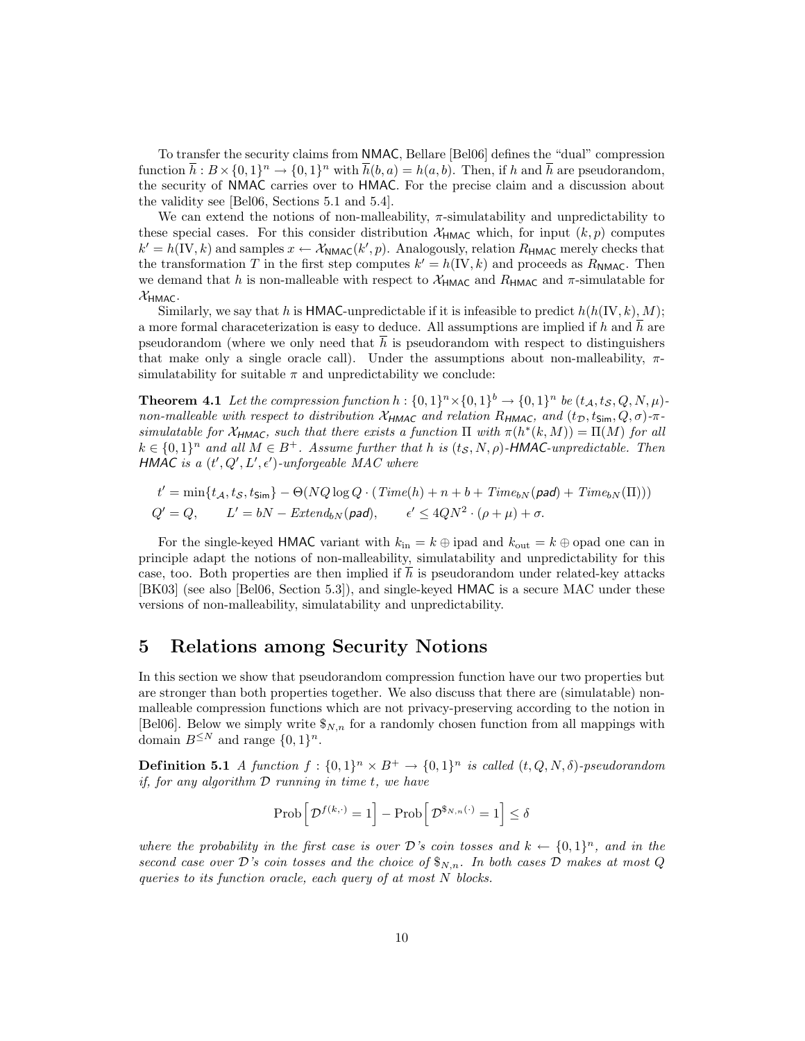To transfer the security claims from NMAC, Bellare [Bel06] defines the "dual" compression function  $\overline{h}: B \times \{0,1\}^n \to \{0,1\}^n$  with  $\overline{h}(b, a) = h(a, b)$ . Then, if h and  $\overline{h}$  are pseudorandom, the security of NMAC carries over to HMAC. For the precise claim and a discussion about the validity see [Bel06, Sections 5.1 and 5.4].

We can extend the notions of non-malleability,  $\pi$ -simulatability and unpredictability to these special cases. For this consider distribution  $\mathcal{X}_{HMAC}$  which, for input  $(k, p)$  computes  $k' = h(\mathbf{IV}, k)$  and samples  $x \leftarrow \mathcal{X}_{\mathsf{NMAC}}(k', p)$ . Analogously, relation  $R_{\mathsf{HMAC}}$  merely checks that the transformation T in the first step computes  $k' = h(IV, k)$  and proceeds as  $R_{NMAC}$ . Then we demand that h is non-malleable with respect to  $\mathcal{X}_{HMAC}$  and  $R_{HMAC}$  and  $\pi$ -simulatable for  $\chi$ <sub>HMAC</sub>.

Similarly, we say that h is HMAC-unpredictable if it is infeasible to predict  $h(h(\text{IV}, k), M)$ ; a more formal characeterization is easy to deduce. All assumptions are implied if h and  $\overline{h}$  are pseudorandom (where we only need that  $\bar{h}$  is pseudorandom with respect to distinguishers that make only a single oracle call). Under the assumptions about non-malleability,  $\pi$ simulatability for suitable  $\pi$  and unpredictability we conclude:

**Theorem 4.1** Let the compression function  $h: \{0,1\}^n \times \{0,1\}^b \rightarrow \{0,1\}^n$  be  $(t_A, t_S, Q, N, \mu)$ non-malleable with respect to distribution  $\chi_{HMAC}$  and relation  $R_{HMAC}$ , and  $(t_D, t_{Sim}, Q, \sigma)$ - $\pi$ simulatable for  $\mathcal{X}_{\text{HMAC}}$ , such that there exists a function  $\Pi$  with  $\pi(h^*(k,M)) = \Pi(M)$  for all  $k \in \{0,1\}^n$  and all  $M \in B^+$ . Assume further that h is  $(t_S, N, \rho)$ -HMAC-unpredictable. Then HMAC is a  $(t', Q', L', \epsilon')$ -unforgeable MAC where

$$
t' = \min\{t_{\mathcal{A}}, t_{\mathcal{S}}, t_{\mathsf{Sim}}\} - \Theta(NQ \log Q \cdot (Time(h) + n + b + Time_{bN}(\text{pad}) + Time_{bN}(\Pi)))
$$
  

$$
Q' = Q, \qquad L' = bN - Extend_{bN}(\text{pad}), \qquad \epsilon' \le 4QN^2 \cdot (\rho + \mu) + \sigma.
$$

For the single-keyed HMAC variant with  $k_{\text{in}} = k \oplus \text{ipad}$  and  $k_{\text{out}} = k \oplus \text{opad}$  one can in principle adapt the notions of non-malleability, simulatability and unpredictability for this case, too. Both properties are then implied if  $\bar{h}$  is pseudorandom under related-key attacks [BK03] (see also [Bel06, Section 5.3]), and single-keyed HMAC is a secure MAC under these versions of non-malleability, simulatability and unpredictability.

## 5 Relations among Security Notions

In this section we show that pseudorandom compression function have our two properties but are stronger than both properties together. We also discuss that there are (simulatable) nonmalleable compression functions which are not privacy-preserving according to the notion in [Bel06]. Below we simply write  $\$_{N,n}$  for a randomly chosen function from all mappings with domain  $B^{\leq N}$  and range  $\{0,1\}^n$ .

**Definition 5.1** A function  $f: \{0,1\}^n \times B^+ \to \{0,1\}^n$  is called  $(t, Q, N, \delta)$ -pseudorandom if, for any algorithm  $D$  running in time t, we have

$$
\mathrm{Prob}\!\left[\,\mathcal{D}^{f(k,\cdot)}=1\right]-\mathrm{Prob}\!\left[\,\mathcal{D}^{\$_{N,n}(\cdot)}=1\right]\leq\delta
$$

where the probability in the first case is over  $\mathcal{D}'$  is coin tosses and  $k \leftarrow \{0,1\}^n$ , and in the second case over D's coin tosses and the choice of  $\mathcal{S}_{N,n}$ . In both cases D makes at most Q queries to its function oracle, each query of at most N blocks.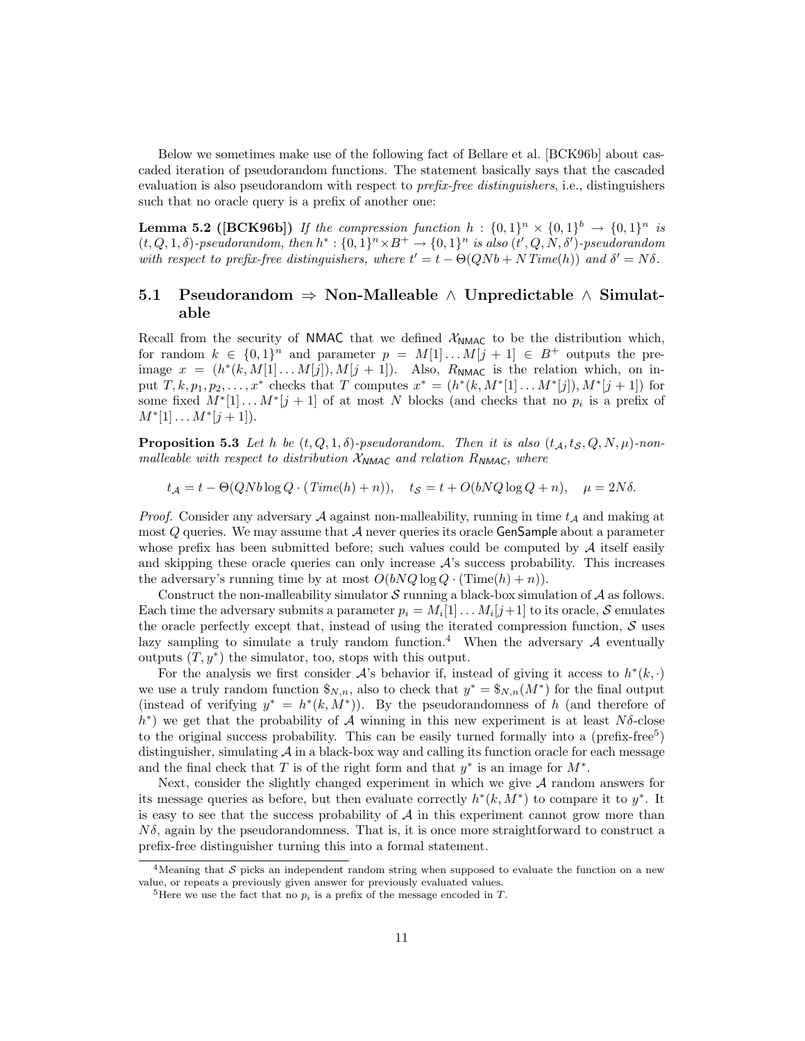Below we sometimes make use of the following fact of Bellare et al. [BCK96b] about cascaded iteration of pseudorandom functions. The statement basically says that the cascaded evaluation is also pseudorandom with respect to *prefix-free distinguishers*, i.e., distinguishers such that no oracle query is a prefix of another one:

**Lemma 5.2 ([BCK96b])** If the compression function  $h: \{0,1\}^n \times \{0,1\}^b \rightarrow \{0,1\}^n$  is  $(t, Q, 1, \delta)$ -pseudorandom, then  $h^*: \{0, 1\}^n \times B^+ \to \{0, 1\}^n$  is also  $(t', Q, N, \delta')$ -pseudorandom with respect to prefix-free distinguishers, where  $t' = t - \Theta(QNb + NTime(h))$  and  $\delta' = N\delta$ .

#### 5.1 Pseudorandom  $\Rightarrow$  Non-Malleable ∧ Unpredictable ∧ Simulatable

Recall from the security of NMAC that we defined  $\mathcal{X}_{NMAC}$  to be the distribution which, for random  $k \in \{0,1\}^n$  and parameter  $p = M[1] \dots M[j+1] \in B^+$  outputs the preimage  $x = (h^*(k, M[1] \dots M[j]), M[j + 1])$ . Also,  $R_{NMAC}$  is the relation which, on input  $T, k, p_1, p_2, \ldots, x^*$  checks that T computes  $x^* = (h^*(k, M^*[1] \ldots M^*[j]) , M^*[j+1])$  for some fixed  $M^*[1] \dots M^*[j+1]$  of at most N blocks (and checks that no  $p_i$  is a prefix of  $M^*[1] \dots M^*[j+1]).$ 

**Proposition 5.3** Let h be  $(t, Q, 1, \delta)$ -pseudorandom. Then it is also  $(t_A, t_S, Q, N, \mu)$ -nonmalleable with respect to distribution  $X_{NMAC}$  and relation  $R_{NMAC}$ , where

 $t_A = t - \Theta(QNb \log Q \cdot (Time(h) + n)), \quad t_S = t + O(bNQ \log Q + n), \quad \mu = 2N\delta.$ 

*Proof.* Consider any adversary A against non-malleability, running in time  $t_A$  and making at most  $Q$  queries. We may assume that  $A$  never queries its oracle GenSample about a parameter whose prefix has been submitted before; such values could be computed by  $A$  itself easily and skipping these oracle queries can only increase  $A$ 's success probability. This increases the adversary's running time by at most  $O(bNQ \log Q \cdot (\text{Time}(h) + n)).$ 

Construct the non-malleability simulator S running a black-box simulation of  $\mathcal A$  as follows. Each time the adversary submits a parameter  $p_i = M_i[1] \dots M_i[j+1]$  to its oracle, S emulates the oracle perfectly except that, instead of using the iterated compression function,  $S$  uses lazy sampling to simulate a truly random function.<sup>4</sup> When the adversary  $\mathcal A$  eventually outputs  $(T, y^*)$  the simulator, too, stops with this output.

For the analysis we first consider  $\mathcal{A}$ 's behavior if, instead of giving it access to  $h^*(k, \cdot)$ we use a truly random function  $\$_{N,n}$ , also to check that  $y^* = \$_{N,n}(M^*)$  for the final output (instead of verifying  $y^* = h^*(k, M^*)$ ). By the pseudorandomness of h (and therefore of h<sup>\*</sup>) we get that the probability of A winning in this new experiment is at least  $N\delta$ -close to the original success probability. This can be easily turned formally into a  $(\text{prefix-free}^5)$ distinguisher, simulating  $\mathcal A$  in a black-box way and calling its function oracle for each message and the final check that T is of the right form and that  $y^*$  is an image for  $M^*$ .

Next, consider the slightly changed experiment in which we give  $A$  random answers for its message queries as before, but then evaluate correctly  $h^*(k, M^*)$  to compare it to  $y^*$ . It is easy to see that the success probability of  $A$  in this experiment cannot grow more than  $N\delta$ , again by the pseudorandomness. That is, it is once more straightforward to construct a prefix-free distinguisher turning this into a formal statement.

<sup>&</sup>lt;sup>4</sup>Meaning that S picks an independent random string when supposed to evaluate the function on a new value, or repeats a previously given answer for previously evaluated values.

<sup>&</sup>lt;sup>5</sup>Here we use the fact that no  $p_i$  is a prefix of the message encoded in T.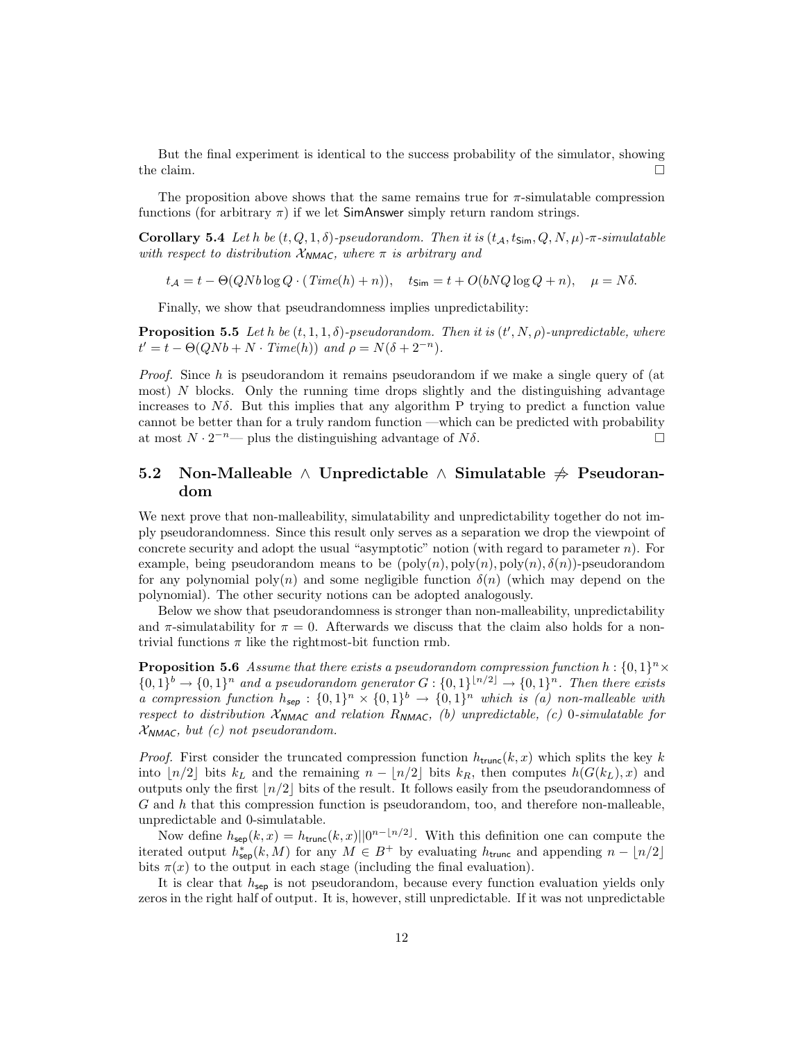But the final experiment is identical to the success probability of the simulator, showing the claim.  $\Box$ 

The proposition above shows that the same remains true for  $\pi$ -simulatable compression functions (for arbitrary  $\pi$ ) if we let SimAnswer simply return random strings.

Corollary 5.4 Let h be  $(t, Q, 1, \delta)$ -pseudorandom. Then it is  $(t_A, t_{\text{Sim}}, Q, N, \mu)$ -π-simulatable with respect to distribution  $X_{NMAC}$ , where  $\pi$  is arbitrary and

 $t_A = t - \Theta(QNb \log Q \cdot (Time(h) + n)), \quad t_{\text{Sim}} = t + O(bNQ \log Q + n), \quad \mu = N\delta.$ 

Finally, we show that pseudrandomness implies unpredictability:

**Proposition 5.5** Let h be  $(t, 1, 1, \delta)$ -pseudorandom. Then it is  $(t', N, \rho)$ -unpredictable, where  $t' = t - \Theta(QNb + N \cdot Time(h))$  and  $\rho = N(\delta + 2^{-n}).$ 

Proof. Since h is pseudorandom it remains pseudorandom if we make a single query of (at most)  $N$  blocks. Only the running time drops slightly and the distinguishing advantage increases to  $N\delta$ . But this implies that any algorithm P trying to predict a function value cannot be better than for a truly random function —which can be predicted with probability at most  $N \cdot 2^{-n}$  plus the distinguishing advantage of  $N\delta$ .

### 5.2 Non-Malleable ∧ Unpredictable ∧ Simulatable  $\#$  Pseudorandom

We next prove that non-malleability, simulatability and unpredictability together do not imply pseudorandomness. Since this result only serves as a separation we drop the viewpoint of concrete security and adopt the usual "asymptotic" notion (with regard to parameter  $n$ ). For example, being pseudorandom means to be  $(\text{poly}(n), \text{poly}(n), \text{poly}(n), \delta(n))$ -pseudorandom for any polynomial poly $(n)$  and some negligible function  $\delta(n)$  (which may depend on the polynomial). The other security notions can be adopted analogously.

Below we show that pseudorandomness is stronger than non-malleability, unpredictability and  $\pi$ -simulatability for  $\pi = 0$ . Afterwards we discuss that the claim also holds for a nontrivial functions  $\pi$  like the rightmost-bit function rmb.

**Proposition 5.6** Assume that there exists a pseudorandom compression function  $h: \{0,1\}^n \times$  $\{0,1\}^b \to \{0,1\}^n$  and a pseudorandom generator  $G: \{0,1\}^{\lfloor n/2 \rfloor} \to \{0,1\}^n$ . Then there exists a compression function  $h_{\text{sep}}: \{0,1\}^n \times \{0,1\}^b \rightarrow \{0,1\}^n$  which is (a) non-malleable with respect to distribution  $X_{NMAC}$  and relation  $R_{NMAC}$ , (b) unpredictable, (c) 0-simulatable for  $X_{NMAC}$ , but (c) not pseudorandom.

*Proof.* First consider the truncated compression function  $h_{\text{trunc}}(k, x)$  which splits the key k into  $\lfloor n/2 \rfloor$  bits  $k_L$  and the remaining  $n - \lfloor n/2 \rfloor$  bits  $k_R$ , then computes  $h(G(k_L), x)$  and outputs only the first  $n/2$  bits of the result. It follows easily from the pseudorandomness of  $G$  and  $h$  that this compression function is pseudorandom, too, and therefore non-malleable, unpredictable and 0-simulatable.

Now define  $h_{\text{sep}}(k, x) = h_{\text{trunc}}(k, x) ||0^{n - \lfloor n/2 \rfloor}$ . With this definition one can compute the iterated output  $h^*_{\text{sep}}(k, M)$  for any  $M \in B^+$  by evaluating  $h_{\text{trunc}}$  and appending  $n - \lfloor n/2 \rfloor$ bits  $\pi(x)$  to the output in each stage (including the final evaluation).

It is clear that  $h_{\text{sep}}$  is not pseudorandom, because every function evaluation yields only zeros in the right half of output. It is, however, still unpredictable. If it was not unpredictable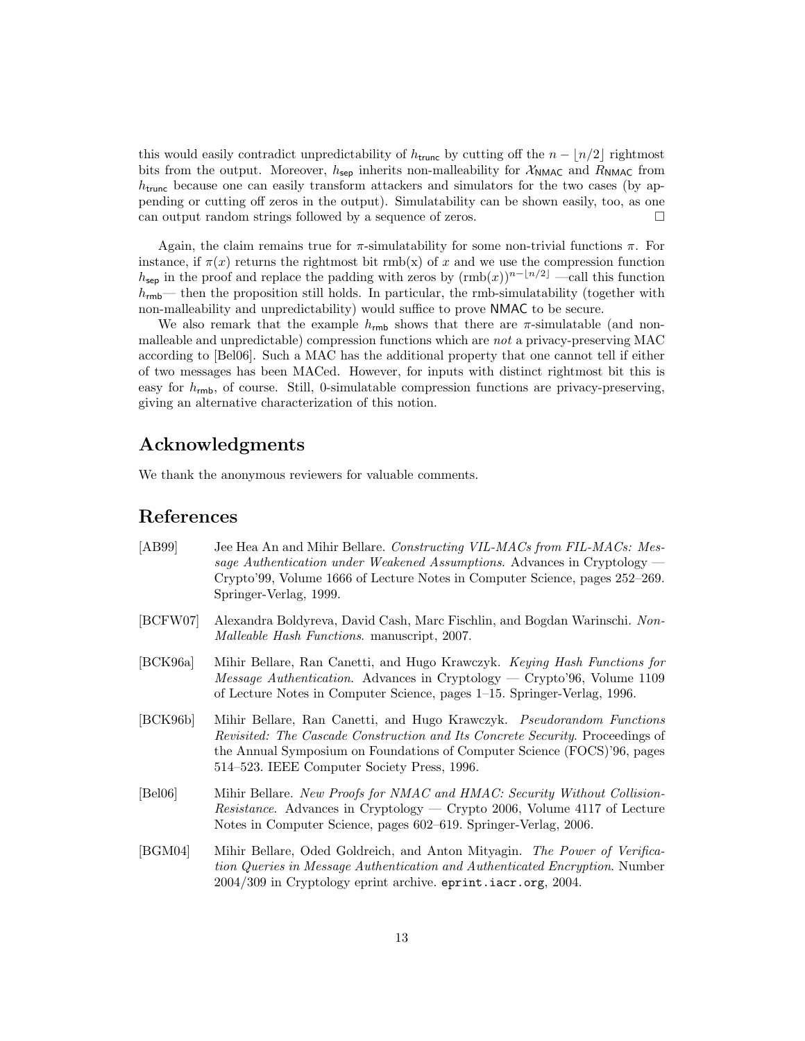this would easily contradict unpredictability of  $h_{\text{trunc}}$  by cutting off the  $n - \lfloor n/2 \rfloor$  rightmost bits from the output. Moreover,  $h_{\text{sep}}$  inherits non-malleability for  $\mathcal{X}_{\text{NMAC}}$  and  $R_{\text{NMAC}}$  from  $h_{\text{trunc}}$  because one can easily transform attackers and simulators for the two cases (by appending or cutting off zeros in the output). Simulatability can be shown easily, too, as one can output random strings followed by a sequence of zeros.  $\Box$ 

Again, the claim remains true for  $\pi$ -simulatability for some non-trivial functions  $\pi$ . For instance, if  $\pi(x)$  returns the rightmost bit rmb(x) of x and we use the compression function  $h_{\text{sep}}$  in the proof and replace the padding with zeros by  $(\text{rm}(x))^{n-[n/2]}$  —call this function  $h_{\text{rmb}}$ — then the proposition still holds. In particular, the rmb-simulatability (together with non-malleability and unpredictability) would suffice to prove NMAC to be secure.

We also remark that the example  $h_{\mathsf{rmb}}$  shows that there are  $\pi$ -simulatable (and nonmalleable and unpredictable) compression functions which are not a privacy-preserving MAC according to [Bel06]. Such a MAC has the additional property that one cannot tell if either of two messages has been MACed. However, for inputs with distinct rightmost bit this is easy for  $h_{\rm{rmb}}$ , of course. Still, 0-simulatable compression functions are privacy-preserving, giving an alternative characterization of this notion.

# Acknowledgments

We thank the anonymous reviewers for valuable comments.

# References

| [AB99]   | Jee Hea An and Mihir Bellare. Constructing VIL-MACs from FIL-MACs: Mes-<br>sage Authentication under Weakened Assumptions. Advances in Cryptology $-$<br>Crypto'99, Volume 1666 of Lecture Notes in Computer Science, pages 252–269.<br>Springer-Verlag, 1999.                           |
|----------|------------------------------------------------------------------------------------------------------------------------------------------------------------------------------------------------------------------------------------------------------------------------------------------|
| [BCFW07] | Alexandra Boldyreva, David Cash, Marc Fischlin, and Bogdan Warinschi. Non-<br><i>Malleable Hash Functions.</i> manuscript, 2007.                                                                                                                                                         |
| [BCK96a] | Mihir Bellare, Ran Canetti, and Hugo Krawczyk. Keying Hash Functions for<br><i>Message Authentication.</i> Advances in Cryptology — Crypto'96, Volume 1109<br>of Lecture Notes in Computer Science, pages 1–15. Springer-Verlag, 1996.                                                   |
| [BCK96b] | Mihir Bellare, Ran Canetti, and Hugo Krawczyk. <i>Pseudorandom Functions</i><br>Revisited: The Cascade Construction and Its Concrete Security. Proceedings of<br>the Annual Symposium on Foundations of Computer Science (FOCS)'96, pages<br>514–523. IEEE Computer Society Press, 1996. |
| [Bel06]  | Mihir Bellare. New Proofs for NMAC and HMAC: Security Without Collision-<br><i>Resistance.</i> Advances in Cryptology — Crypto 2006, Volume 4117 of Lecture<br>Notes in Computer Science, pages 602–619. Springer-Verlag, 2006.                                                          |
| [BGM04]  | Mihir Bellare, Oded Goldreich, and Anton Mityagin. The Power of Verifica-<br>tion Queries in Message Authentication and Authenticated Encryption. Number<br>2004/309 in Cryptology eprint archive. eprint.iacr.org, 2004.                                                                |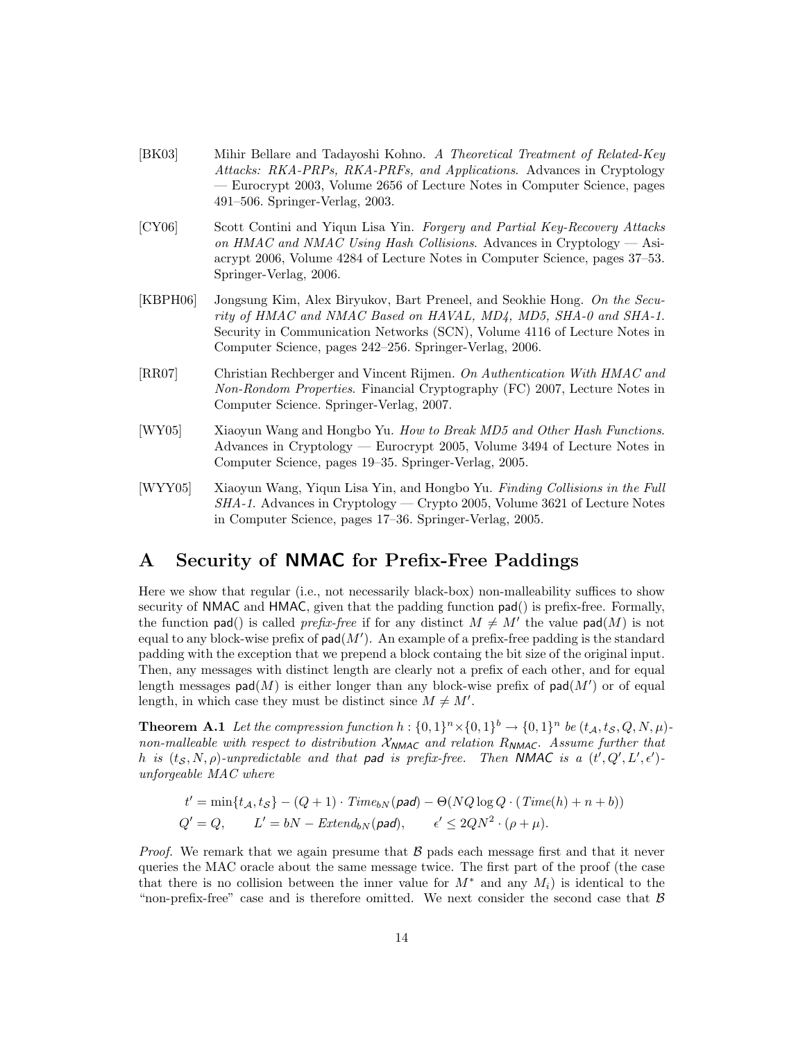- [BK03] Mihir Bellare and Tadayoshi Kohno. A Theoretical Treatment of Related-Key Attacks: RKA-PRPs, RKA-PRFs, and Applications. Advances in Cryptology — Eurocrypt 2003, Volume 2656 of Lecture Notes in Computer Science, pages 491–506. Springer-Verlag, 2003.
- [CY06] Scott Contini and Yiqun Lisa Yin. Forgery and Partial Key-Recovery Attacks on HMAC and NMAC Using Hash Collisions. Advances in Cryptology — Asiacrypt 2006, Volume 4284 of Lecture Notes in Computer Science, pages 37–53. Springer-Verlag, 2006.
- [KBPH06] Jongsung Kim, Alex Biryukov, Bart Preneel, and Seokhie Hong. On the Security of HMAC and NMAC Based on HAVAL, MD4, MD5, SHA-0 and SHA-1. Security in Communication Networks (SCN), Volume 4116 of Lecture Notes in Computer Science, pages 242–256. Springer-Verlag, 2006.
- [RR07] Christian Rechberger and Vincent Rijmen. On Authentication With HMAC and Non-Rondom Properties. Financial Cryptography (FC) 2007, Lecture Notes in Computer Science. Springer-Verlag, 2007.
- [WY05] Xiaoyun Wang and Hongbo Yu. How to Break MD5 and Other Hash Functions. Advances in Cryptology — Eurocrypt 2005, Volume 3494 of Lecture Notes in Computer Science, pages 19–35. Springer-Verlag, 2005.
- [WYY05] Xiaoyun Wang, Yiqun Lisa Yin, and Hongbo Yu. Finding Collisions in the Full SHA-1. Advances in Cryptology — Crypto 2005, Volume 3621 of Lecture Notes in Computer Science, pages 17–36. Springer-Verlag, 2005.

# A Security of NMAC for Prefix-Free Paddings

Here we show that regular (i.e., not necessarily black-box) non-malleability suffices to show security of NMAC and HMAC, given that the padding function pad() is prefix-free. Formally, the function pad() is called *prefix-free* if for any distinct  $M \neq M'$  the value pad(M) is not equal to any block-wise prefix of  $\mathsf{pad}(M')$ . An example of a prefix-free padding is the standard padding with the exception that we prepend a block containg the bit size of the original input. Then, any messages with distinct length are clearly not a prefix of each other, and for equal length messages  $\mathsf{pad}(M)$  is either longer than any block-wise prefix of  $\mathsf{pad}(M')$  or of equal length, in which case they must be distinct since  $M \neq M'$ .

**Theorem A.1** Let the compression function  $h: \{0,1\}^n \times \{0,1\}^b \rightarrow \{0,1\}^n$  be  $(t_A, t_S, Q, N, \mu)$ non-malleable with respect to distribution  $X_{NMAC}$  and relation  $R_{NMAC}$ . Assume further that h is  $(t_S, N, \rho)$ -unpredictable and that pad is prefix-free. Then NMAC is a  $(t', Q', L', \epsilon')$ unforgeable MAC where

$$
t' = \min\{t_{\mathcal{A}}, t_{\mathcal{S}}\} - (Q+1) \cdot Time_{bN}(\text{pad}) - \Theta(NQ \log Q \cdot (Time(h) + n + b))
$$
  
 
$$
Q' = Q, \qquad L' = bN - Extend_{bN}(\text{pad}), \qquad \epsilon' \le 2QN^2 \cdot (\rho + \mu).
$$

*Proof.* We remark that we again presume that  $\beta$  pads each message first and that it never queries the MAC oracle about the same message twice. The first part of the proof (the case that there is no collision between the inner value for  $M^*$  and any  $M_i$ ) is identical to the "non-prefix-free" case and is therefore omitted. We next consider the second case that  $\beta$